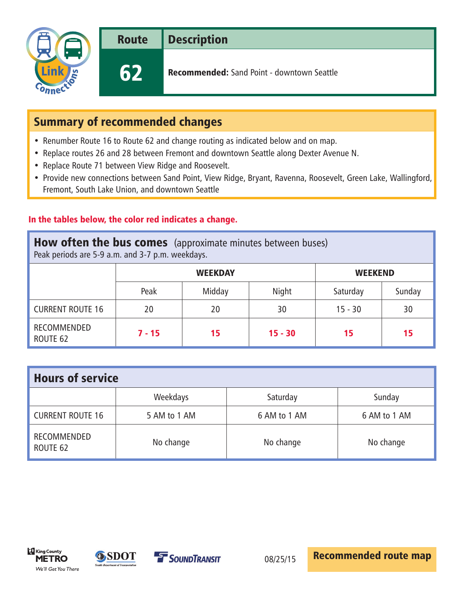

Route Description

62 Recommended: Sand Point - downtown Seattle

# Summary of recommended changes

- Renumber Route 16 to Route 62 and change routing as indicated below and on map.
- Replace routes 26 and 28 between Fremont and downtown Seattle along Dexter Avenue N.
- Replace Route 71 between View Ridge and Roosevelt.
- Provide new connections between Sand Point, View Ridge, Bryant, Ravenna, Roosevelt, Green Lake, Wallingford, Fremont, South Lake Union, and downtown Seattle

### In the tables below, the color red indicates a change.

## **How often the bus comes** (approximate minutes between buses)

Peak periods are 5-9 a.m. and 3-7 p.m. weekdays.

|                         | <b>WEEKDAY</b> |        |           | <b>WEEKEND</b> |        |
|-------------------------|----------------|--------|-----------|----------------|--------|
|                         | Peak           | Midday | Night     | Saturday       | Sunday |
| <b>CURRENT ROUTE 16</b> | 20             | 20     | 30        | $15 - 30$      | 30     |
| RECOMMENDED<br>ROUTE 62 | $7 - 15$       | 15     | $15 - 30$ | 15             | 15     |

| <b>Hours of service</b> |              |              |              |  |  |  |
|-------------------------|--------------|--------------|--------------|--|--|--|
|                         | Weekdays     | Saturday     | Sunday       |  |  |  |
| <b>CURRENT ROUTE 16</b> | 5 AM to 1 AM | 6 AM to 1 AM | 6 AM to 1 AM |  |  |  |
| RECOMMENDED<br>ROUTE 62 | No change    | No change    | No change    |  |  |  |